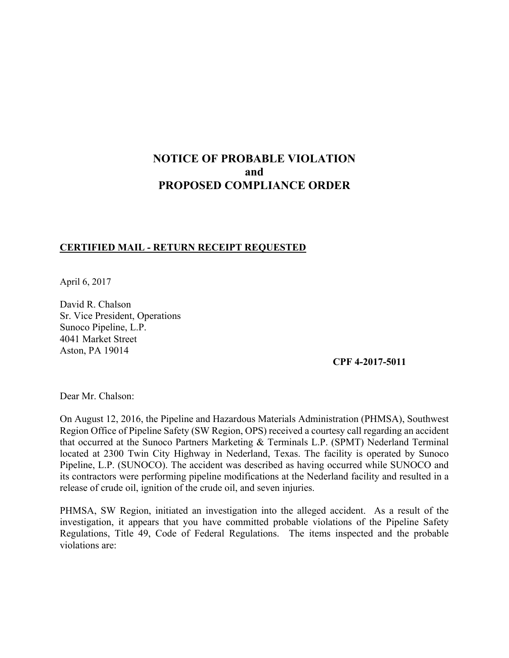# **NOTICE OF PROBABLE VIOLATION and PROPOSED COMPLIANCE ORDER**

#### **CERTIFIED MAIL - RETURN RECEIPT REQUESTED**

April 6, 2017

David R. Chalson Sr. Vice President, Operations Sunoco Pipeline, L.P. 4041 Market Street Aston, PA 19014

**CPF 4-2017-5011**

Dear Mr. Chalson:

On August 12, 2016, the Pipeline and Hazardous Materials Administration (PHMSA), Southwest Region Office of Pipeline Safety (SW Region, OPS) received a courtesy call regarding an accident that occurred at the Sunoco Partners Marketing & Terminals L.P. (SPMT) Nederland Terminal located at 2300 Twin City Highway in Nederland, Texas. The facility is operated by Sunoco Pipeline, L.P. (SUNOCO). The accident was described as having occurred while SUNOCO and its contractors were performing pipeline modifications at the Nederland facility and resulted in a release of crude oil, ignition of the crude oil, and seven injuries.

PHMSA, SW Region, initiated an investigation into the alleged accident. As a result of the investigation, it appears that you have committed probable violations of the Pipeline Safety Regulations, Title 49, Code of Federal Regulations. The items inspected and the probable violations are: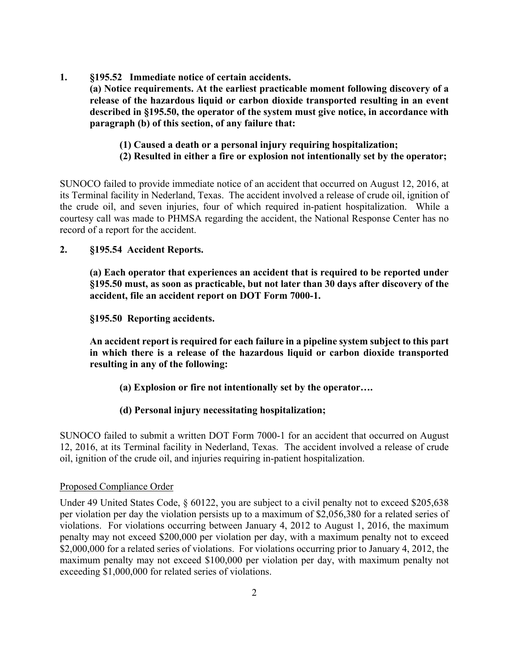**1. §195.52 Immediate notice of certain accidents.** 

 **(a) Notice requirements. At the earliest practicable moment following discovery of a release of the hazardous liquid or carbon dioxide transported resulting in an event described in §195.50, the operator of the system must give notice, in accordance with paragraph (b) of this section, of any failure that:** 

- **(1) Caused a death or a personal injury requiring hospitalization;**
- **(2) Resulted in either a fire or explosion not intentionally set by the operator;**

SUNOCO failed to provide immediate notice of an accident that occurred on August 12, 2016, at its Terminal facility in Nederland, Texas. The accident involved a release of crude oil, ignition of the crude oil, and seven injuries, four of which required in-patient hospitalization. While a courtesy call was made to PHMSA regarding the accident, the National Response Center has no record of a report for the accident.

## **2. §195.54 Accident Reports.**

**(a) Each operator that experiences an accident that is required to be reported under §195.50 must, as soon as practicable, but not later than 30 days after discovery of the accident, file an accident report on DOT Form 7000-1.** 

**§195.50 Reporting accidents.** 

**An accident report is required for each failure in a pipeline system subject to this part in which there is a release of the hazardous liquid or carbon dioxide transported resulting in any of the following:** 

**(a) Explosion or fire not intentionally set by the operator….** 

## **(d) Personal injury necessitating hospitalization;**

SUNOCO failed to submit a written DOT Form 7000-1 for an accident that occurred on August 12, 2016, at its Terminal facility in Nederland, Texas. The accident involved a release of crude oil, ignition of the crude oil, and injuries requiring in-patient hospitalization.

#### Proposed Compliance Order

Under 49 United States Code, § 60122, you are subject to a civil penalty not to exceed \$205,638 per violation per day the violation persists up to a maximum of \$2,056,380 for a related series of violations. For violations occurring between January 4, 2012 to August 1, 2016, the maximum penalty may not exceed \$200,000 per violation per day, with a maximum penalty not to exceed \$2,000,000 for a related series of violations. For violations occurring prior to January 4, 2012, the maximum penalty may not exceed \$100,000 per violation per day, with maximum penalty not exceeding \$1,000,000 for related series of violations.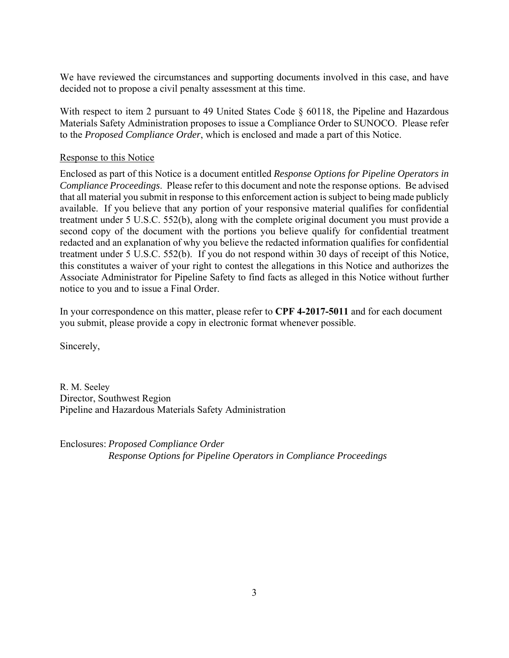We have reviewed the circumstances and supporting documents involved in this case, and have decided not to propose a civil penalty assessment at this time.

With respect to item 2 pursuant to 49 United States Code § 60118, the Pipeline and Hazardous Materials Safety Administration proposes to issue a Compliance Order to SUNOCO. Please refer to the *Proposed Compliance Order*, which is enclosed and made a part of this Notice.

### Response to this Notice

Enclosed as part of this Notice is a document entitled *Response Options for Pipeline Operators in Compliance Proceedings*. Please refer to this document and note the response options. Be advised that all material you submit in response to this enforcement action is subject to being made publicly available. If you believe that any portion of your responsive material qualifies for confidential treatment under 5 U.S.C. 552(b), along with the complete original document you must provide a second copy of the document with the portions you believe qualify for confidential treatment redacted and an explanation of why you believe the redacted information qualifies for confidential treatment under 5 U.S.C. 552(b). If you do not respond within 30 days of receipt of this Notice, this constitutes a waiver of your right to contest the allegations in this Notice and authorizes the Associate Administrator for Pipeline Safety to find facts as alleged in this Notice without further notice to you and to issue a Final Order.

In your correspondence on this matter, please refer to **CPF 4-2017-5011** and for each document you submit, please provide a copy in electronic format whenever possible.

Sincerely,

R. M. Seeley Director, Southwest Region Pipeline and Hazardous Materials Safety Administration

Enclosures: *Proposed Compliance Order Response Options for Pipeline Operators in Compliance Proceedings*